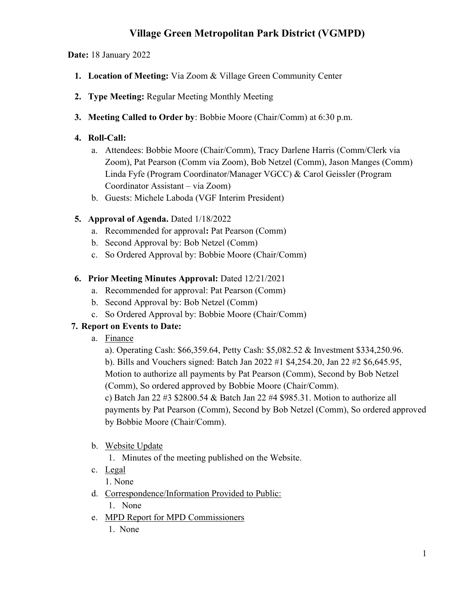# Village Green Metropolitan Park District (VGMPD)

Date: 18 January 2022

- 1. Location of Meeting: Via Zoom & Village Green Community Center
- 2. Type Meeting: Regular Meeting Monthly Meeting
- 3. Meeting Called to Order by: Bobbie Moore (Chair/Comm) at 6:30 p.m.

#### 4. Roll-Call:

- a. Attendees: Bobbie Moore (Chair/Comm), Tracy Darlene Harris (Comm/Clerk via Zoom), Pat Pearson (Comm via Zoom), Bob Netzel (Comm), Jason Manges (Comm) Linda Fyfe (Program Coordinator/Manager VGCC) & Carol Geissler (Program Coordinator Assistant – via Zoom)
- b. Guests: Michele Laboda (VGF Interim President)

### 5. Approval of Agenda. Dated 1/18/2022

- a. Recommended for approval: Pat Pearson (Comm)
- b. Second Approval by: Bob Netzel (Comm)
- c. So Ordered Approval by: Bobbie Moore (Chair/Comm)

### 6. Prior Meeting Minutes Approval: Dated 12/21/2021

- a. Recommended for approval: Pat Pearson (Comm)
- b. Second Approval by: Bob Netzel (Comm)
- c. So Ordered Approval by: Bobbie Moore (Chair/Comm)

### 7. Report on Events to Date:

a. Finance

a). Operating Cash: \$66,359.64, Petty Cash: \$5,082.52 & Investment \$334,250.96. b). Bills and Vouchers signed: Batch Jan 2022 #1 \$4,254.20, Jan 22 #2 \$6,645.95, Motion to authorize all payments by Pat Pearson (Comm), Second by Bob Netzel (Comm), So ordered approved by Bobbie Moore (Chair/Comm). c) Batch Jan 22 #3 \$2800.54 & Batch Jan 22 #4 \$985.31. Motion to authorize all

payments by Pat Pearson (Comm), Second by Bob Netzel (Comm), So ordered approved by Bobbie Moore (Chair/Comm).

b. Website Update

1. Minutes of the meeting published on the Website.

- c. Legal
	- 1. None
- d. Correspondence/Information Provided to Public:

1. None

- e. MPD Report for MPD Commissioners
	- 1. None